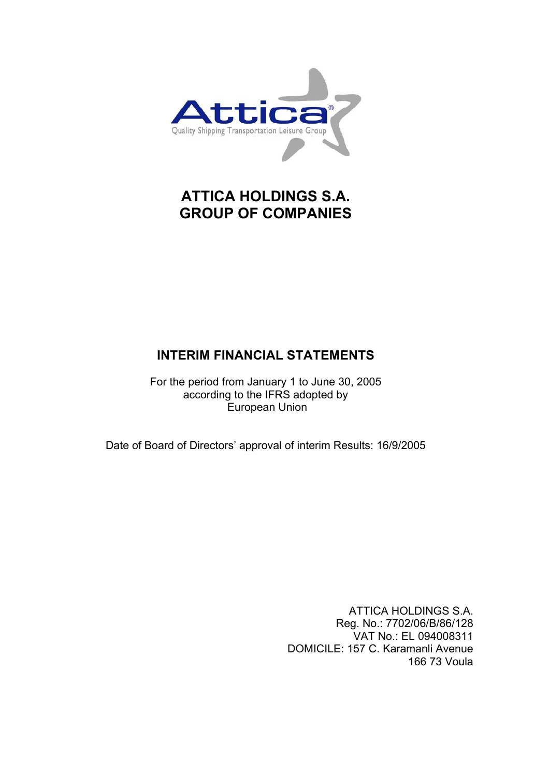

# **ATTICA HOLDINGS S.A. GROUP OF COMPANIES**

# **INTERIM FINANCIAL STATEMENTS**

For the period from January 1 to June 30, 2005 according to the IFRS adopted by European Union

Date of Board of Directors' approval of interim Results: 16/9/2005

ATTICA HOLDINGS S.A. Reg. No.: 7702/06/B/86/128 VAT No.: EL 094008311 DOMICILE: 157 C. Karamanli Avenue 166 73 Voula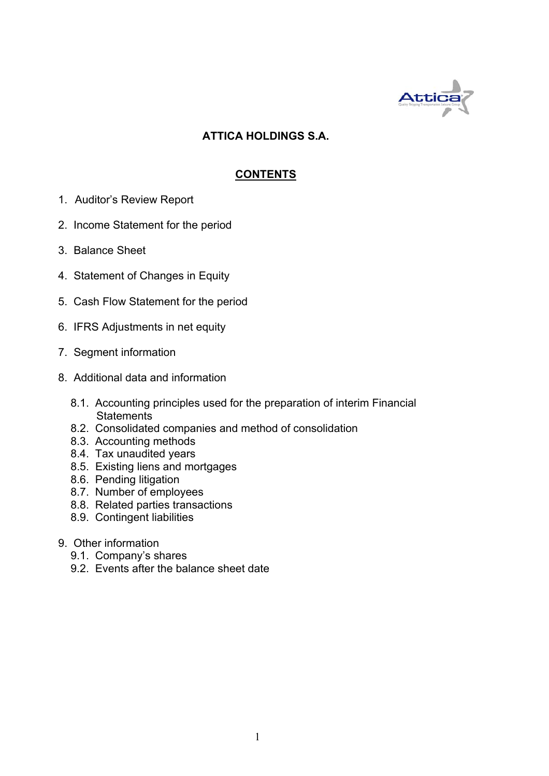

# **ATTICA HOLDINGS S.A.**

# **CONTENTS**

- 1. Auditor's Review Report
- 2. Income Statement for the period
- 3. Balance Sheet
- 4. Statement of Changes in Equity
- 5. Cash Flow Statement for the period
- 6. IFRS Adjustments in net equity
- 7. Segment information
- 8. Additional data and information
	- 8.1. Accounting principles used for the preparation of interim Financial **Statements**
	- 8.2. Consolidated companies and method of consolidation
	- 8.3. Accounting methods
	- 8.4. Tax unaudited years
	- 8.5. Existing liens and mortgages
	- 8.6. Pending litigation
	- 8.7. Number of employees
	- 8.8. Related parties transactions
	- 8.9. Contingent liabilities
- 9. Other information
	- 9.1. Company's shares
	- 9.2. Events after the balance sheet date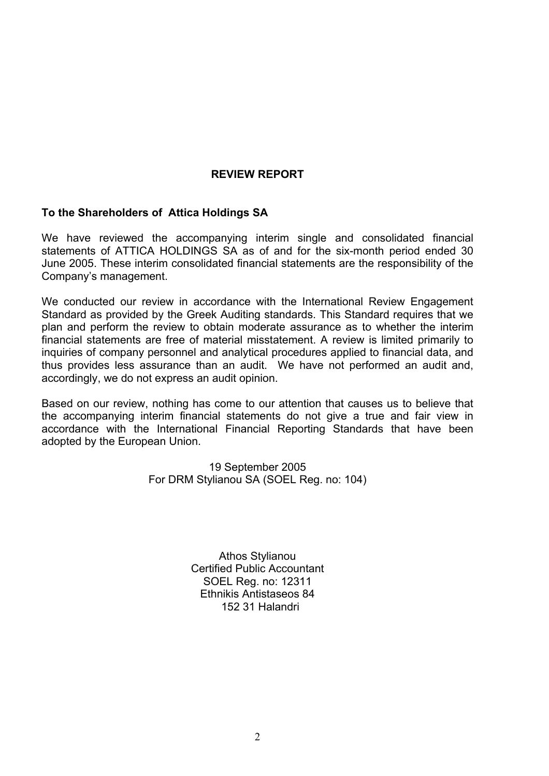# **REVIEW REPORT**

# **To the Shareholders of Attica Holdings SA**

We have reviewed the accompanying interim single and consolidated financial statements of ATTICA HOLDINGS SA as of and for the six-month period ended 30 June 2005. These interim consolidated financial statements are the responsibility of the Company's management.

We conducted our review in accordance with the International Review Engagement Standard as provided by the Greek Auditing standards. This Standard requires that we plan and perform the review to obtain moderate assurance as to whether the interim financial statements are free of material misstatement. A review is limited primarily to inquiries of company personnel and analytical procedures applied to financial data, and thus provides less assurance than an audit. We have not performed an audit and, accordingly, we do not express an audit opinion.

Based on our review, nothing has come to our attention that causes us to believe that the accompanying interim financial statements do not give a true and fair view in accordance with the International Financial Reporting Standards that have been adopted by the European Union.

> 19 September 2005 For DRM Stylianou SA (SOEL Reg. no: 104)

> > Athos Stylianou Certified Public Accountant SOEL Reg. no: 12311 Ethnikis Antistaseos 84 152 31 Halandri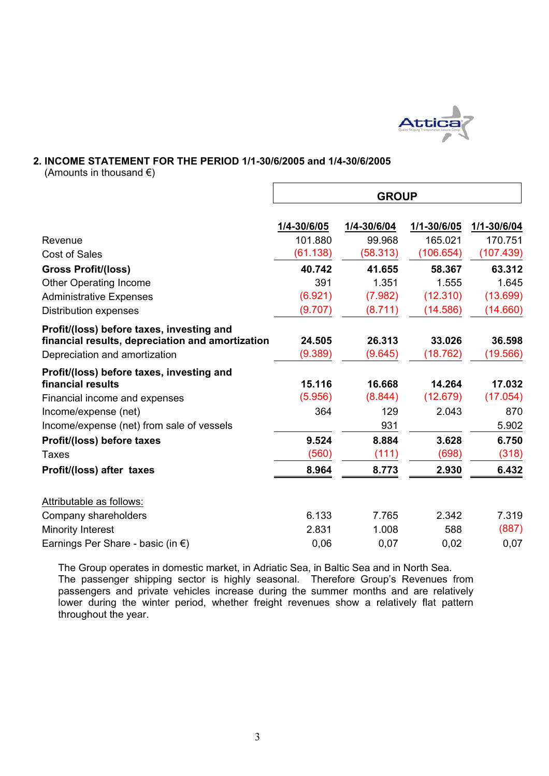

#### **2. INCOME STATEMENT FOR THE PERIOD 1/1-30/6/2005 and 1/4-30/6/2005**

(Amounts in thousand  $\epsilon$ )

|                                                                                   | <b>GROUP</b>      |                   |                    |                    |  |  |
|-----------------------------------------------------------------------------------|-------------------|-------------------|--------------------|--------------------|--|--|
|                                                                                   | 1/4-30/6/05       | 1/4-30/6/04       | 1/1-30/6/05        | 1/1-30/6/04        |  |  |
| Revenue                                                                           | 101.880           | 99.968            | 165.021            | 170.751            |  |  |
| <b>Cost of Sales</b>                                                              | (61.138)          | (58.313)          | (106.654)          | (107.439)          |  |  |
| <b>Gross Profit/(loss)</b>                                                        | 40.742            | 41.655            | 58.367             | 63.312             |  |  |
| <b>Other Operating Income</b>                                                     | 391               | 1.351             | 1.555              | 1.645              |  |  |
| <b>Administrative Expenses</b>                                                    | (6.921)           | (7.982)           | (12.310)           | (13.699)           |  |  |
| <b>Distribution expenses</b>                                                      | (9.707)           | (8.711)           | (14.586)           | (14.660)           |  |  |
| Profit/(loss) before taxes, investing and                                         |                   |                   |                    |                    |  |  |
| financial results, depreciation and amortization<br>Depreciation and amortization | 24.505<br>(9.389) | 26.313<br>(9.645) | 33.026<br>(18.762) | 36.598<br>(19.566) |  |  |
| Profit/(loss) before taxes, investing and                                         |                   |                   |                    |                    |  |  |
| financial results                                                                 | 15.116            | 16.668            | 14.264             | 17.032             |  |  |
| Financial income and expenses                                                     | (5.956)           | (8.844)           | (12.679)           | (17.054)           |  |  |
| Income/expense (net)<br>Income/expense (net) from sale of vessels                 | 364               | 129<br>931        | 2.043              | 870<br>5.902       |  |  |
| Profit/(loss) before taxes                                                        | 9.524             | 8.884             | 3.628              | 6.750              |  |  |
| Taxes                                                                             | (560)             | (111)             | (698)              | (318)              |  |  |
| Profit/(loss) after taxes                                                         | 8.964             | 8.773             | 2.930              | 6.432              |  |  |
| Attributable as follows:                                                          |                   |                   |                    |                    |  |  |
| Company shareholders                                                              | 6.133             | 7.765             | 2.342              | 7.319              |  |  |
| Minority Interest                                                                 | 2.831             | 1.008             | 588                | (887)              |  |  |
| Earnings Per Share - basic (in $\epsilon$ )                                       | 0,06              | 0,07              | 0,02               | 0,07               |  |  |

The Group operates in domestic market, in Adriatic Sea, in Baltic Sea and in North Sea. The passenger shipping sector is highly seasonal. Therefore Group's Revenues from passengers and private vehicles increase during the summer months and are relatively lower during the winter period, whether freight revenues show a relatively flat pattern throughout the year.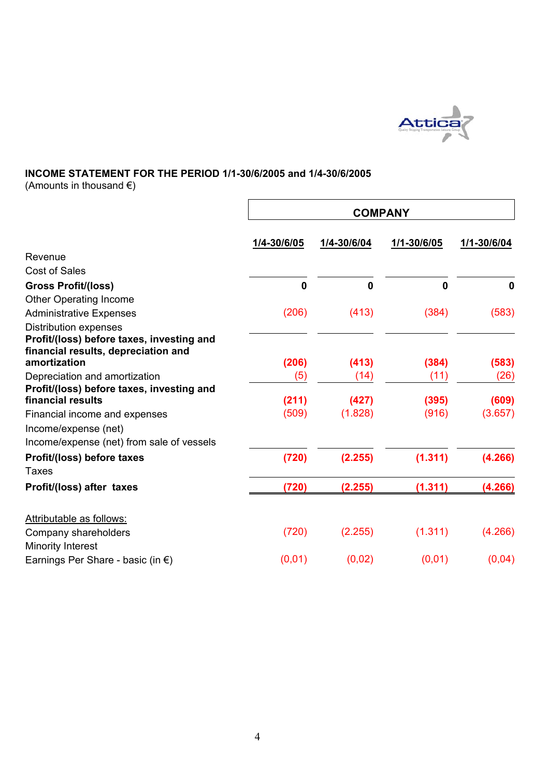

# **INCOME STATEMENT FOR THE PERIOD 1/1-30/6/2005 and 1/4-30/6/2005**

(Amounts in thousand  $\epsilon$ )

| <b>COMPANY</b>   |                       |                        |                        |  |  |  |
|------------------|-----------------------|------------------------|------------------------|--|--|--|
| 1/4-30/6/05      | 1/4-30/6/04           | 1/1-30/6/05            | 1/1-30/6/04            |  |  |  |
|                  |                       |                        |                        |  |  |  |
|                  |                       |                        |                        |  |  |  |
| $\boldsymbol{0}$ | $\mathbf 0$           | 0                      | $\mathbf 0$            |  |  |  |
|                  |                       |                        |                        |  |  |  |
| (206)            | (413)                 | (384)                  | (583)                  |  |  |  |
|                  |                       |                        |                        |  |  |  |
|                  |                       |                        |                        |  |  |  |
|                  |                       |                        |                        |  |  |  |
|                  |                       |                        | (583)                  |  |  |  |
|                  |                       |                        | (26)                   |  |  |  |
|                  |                       |                        | (609)                  |  |  |  |
| (509)            | (1.828)               | (916)                  | (3.657)                |  |  |  |
|                  |                       |                        |                        |  |  |  |
|                  |                       |                        |                        |  |  |  |
| (720)            | (2.255)               | (1.311)                | (4.266)                |  |  |  |
|                  |                       |                        |                        |  |  |  |
| (720)            | (2.255)               | (1.311)                | (4.266)                |  |  |  |
|                  |                       |                        |                        |  |  |  |
| (720)            | (2.255)               | (1.311)                | (4.266)                |  |  |  |
|                  |                       |                        |                        |  |  |  |
| (0,01)           | (0,02)                | (0,01)                 | (0,04)                 |  |  |  |
|                  | (206)<br>(5)<br>(211) | (413)<br>(14)<br>(427) | (384)<br>(11)<br>(395) |  |  |  |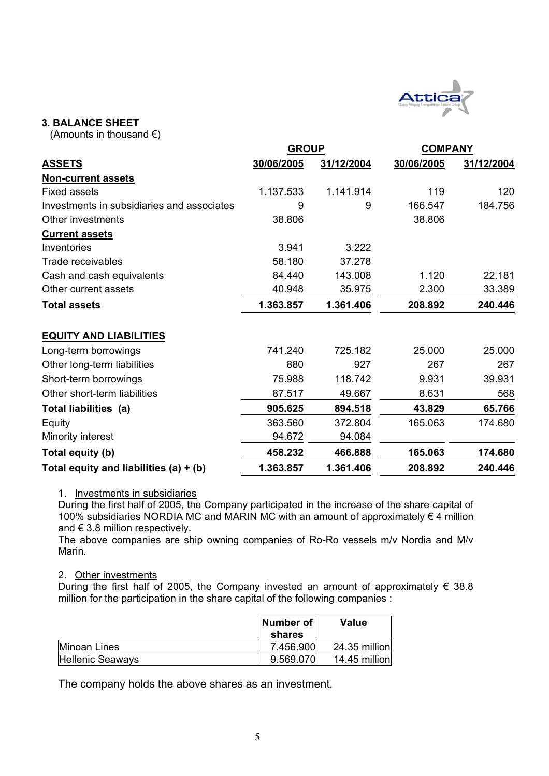

## **3. BALANCE SHEET**

(Amounts in thousand  $\epsilon$ )

| <b>GROUP</b>                               |            |            | <b>COMPANY</b> |            |  |
|--------------------------------------------|------------|------------|----------------|------------|--|
| <b>ASSETS</b>                              | 30/06/2005 | 31/12/2004 | 30/06/2005     | 31/12/2004 |  |
| <b>Non-current assets</b>                  |            |            |                |            |  |
| <b>Fixed assets</b>                        | 1.137.533  | 1.141.914  | 119            | 120        |  |
| Investments in subsidiaries and associates | 9          | 9          | 166.547        | 184.756    |  |
| Other investments                          | 38.806     |            | 38.806         |            |  |
| <b>Current assets</b>                      |            |            |                |            |  |
| Inventories                                | 3.941      | 3.222      |                |            |  |
| Trade receivables                          | 58.180     | 37.278     |                |            |  |
| Cash and cash equivalents                  | 84.440     | 143.008    | 1.120          | 22.181     |  |
| Other current assets                       | 40.948     | 35.975     | 2.300          | 33.389     |  |
| <b>Total assets</b>                        | 1.363.857  | 1.361.406  | 208.892        | 240.446    |  |
| <b>EQUITY AND LIABILITIES</b>              |            |            |                |            |  |
| Long-term borrowings                       | 741.240    | 725.182    | 25.000         | 25.000     |  |
| Other long-term liabilities                | 880        | 927        | 267            | 267        |  |
| Short-term borrowings                      | 75.988     | 118.742    | 9.931          | 39.931     |  |
| Other short-term liabilities               | 87.517     | 49.667     | 8.631          | 568        |  |
| Total liabilities (a)                      | 905.625    | 894.518    | 43.829         | 65.766     |  |
| Equity                                     | 363.560    | 372.804    | 165.063        | 174.680    |  |
| Minority interest                          | 94.672     | 94.084     |                |            |  |
| Total equity (b)                           | 458.232    | 466.888    | 165.063        | 174.680    |  |
| Total equity and liabilities $(a) + (b)$   | 1.363.857  | 1.361.406  | 208.892        | 240.446    |  |

#### 1. Investments in subsidiaries

During the first half of 2005, the Company participated in the increase of the share capital of 100% subsidiaries NORDIA MC and MARIN MC with an amount of approximately  $\epsilon$  4 million and  $\epsilon$  3.8 million respectively.

The above companies are ship owning companies of Ro-Ro vessels m/v Nordia and M/v Marin.

#### 2. Other investments

During the first half of 2005, the Company invested an amount of approximately  $\epsilon$  38.8 million for the participation in the share capital of the following companies :

|                  | Number of<br>shares | <b>Value</b>  |
|------------------|---------------------|---------------|
| Minoan Lines     | 7.456.900           | 24.35 million |
| Hellenic Seaways | 9.569.070           | 14.45 million |

The company holds the above shares as an investment.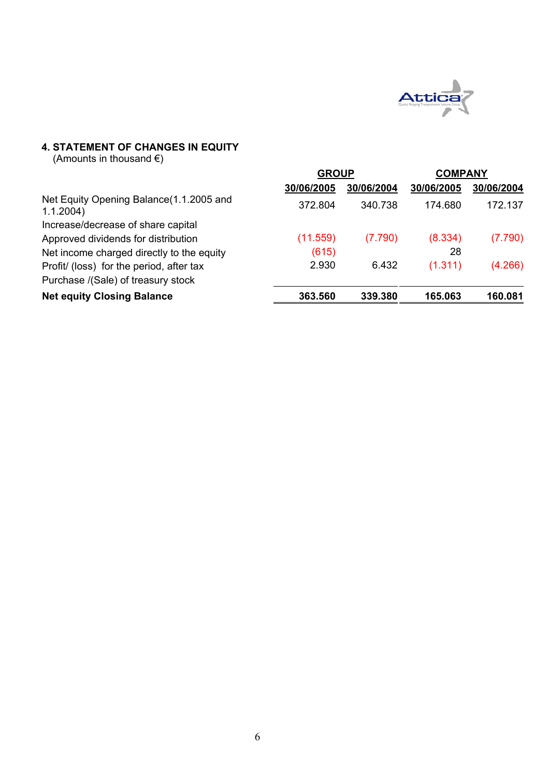

# **4. STATEMENT OF CHANGES IN EQUITY**

(Amounts in thousand  $\epsilon$ )

|                                                      | <b>GROUP</b> |            | <b>COMPANY</b> |            |
|------------------------------------------------------|--------------|------------|----------------|------------|
|                                                      | 30/06/2005   | 30/06/2004 | 30/06/2005     | 30/06/2004 |
| Net Equity Opening Balance(1.1.2005 and<br>1.1.2004) | 372.804      | 340.738    | 174.680        | 172.137    |
| Increase/decrease of share capital                   |              |            |                |            |
| Approved dividends for distribution                  | (11.559)     | (7.790)    | (8.334)        | (7.790)    |
| Net income charged directly to the equity            | (615)        |            | 28             |            |
| Profit/ (loss) for the period, after tax             | 2.930        | 6.432      | (1.311)        | (4.266)    |
| Purchase /(Sale) of treasury stock                   |              |            |                |            |
| <b>Net equity Closing Balance</b>                    | 363.560      | 339.380    | 165.063        | 160.081    |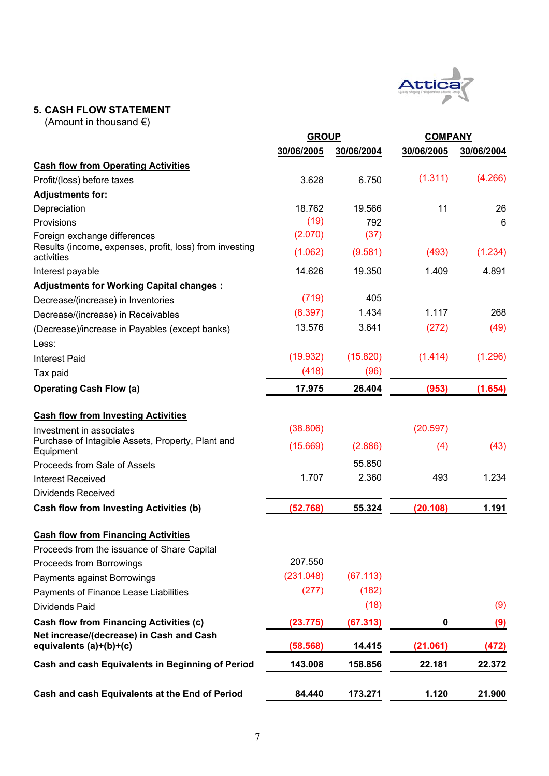

# **5. CASH FLOW STATEMENT**

(Amount in thousand €)

|                                                                       | <b>GROUP</b> |            | <b>COMPANY</b> |            |
|-----------------------------------------------------------------------|--------------|------------|----------------|------------|
|                                                                       | 30/06/2005   | 30/06/2004 | 30/06/2005     | 30/06/2004 |
| <b>Cash flow from Operating Activities</b>                            |              |            |                |            |
| Profit/(loss) before taxes                                            | 3.628        | 6.750      | (1.311)        | (4.266)    |
| <b>Adjustments for:</b>                                               |              |            |                |            |
| Depreciation                                                          | 18.762       | 19.566     | 11             | 26         |
| Provisions                                                            | (19)         | 792        |                | 6          |
| Foreign exchange differences                                          | (2.070)      | (37)       |                |            |
| Results (income, expenses, profit, loss) from investing<br>activities | (1.062)      | (9.581)    | (493)          | (1.234)    |
| Interest payable                                                      | 14.626       | 19.350     | 1.409          | 4.891      |
| <b>Adjustments for Working Capital changes:</b>                       |              |            |                |            |
| Decrease/(increase) in Inventories                                    | (719)        | 405        |                |            |
| Decrease/(increase) in Receivables                                    | (8.397)      | 1.434      | 1.117          | 268        |
| (Decrease)/increase in Payables (except banks)                        | 13.576       | 3.641      | (272)          | (49)       |
| Less:                                                                 |              |            |                |            |
| <b>Interest Paid</b>                                                  | (19.932)     | (15.820)   | (1.414)        | (1.296)    |
| Tax paid                                                              | (418)        | (96)       |                |            |
| <b>Operating Cash Flow (a)</b>                                        | 17.975       | 26.404     | (953)          | (1.654)    |
| <b>Cash flow from Investing Activities</b>                            |              |            |                |            |
| Investment in associates                                              | (38.806)     |            | (20.597)       |            |
| Purchase of Intagible Assets, Property, Plant and<br>Equipment        | (15.669)     | (2.886)    | (4)            | (43)       |
| Proceeds from Sale of Assets                                          |              | 55.850     |                |            |
| <b>Interest Received</b>                                              | 1.707        | 2.360      | 493            | 1.234      |
| Dividends Received                                                    |              |            |                |            |
| Cash flow from Investing Activities (b)                               | (52.768)     | 55.324     | (20.108)       | 1.191      |
| <b>Cash flow from Financing Activities</b>                            |              |            |                |            |
| Proceeds from the issuance of Share Capital                           |              |            |                |            |
| Proceeds from Borrowings                                              | 207.550      |            |                |            |
| Payments against Borrowings                                           | (231.048)    | (67.113)   |                |            |
| Payments of Finance Lease Liabilities                                 | (277)        | (182)      |                |            |
| Dividends Paid                                                        |              | (18)       |                | (9)        |
| <b>Cash flow from Financing Activities (c)</b>                        | (23.775)     | (67.313)   | 0              | (9)        |
| Net increase/(decrease) in Cash and Cash<br>equivalents $(a)+(b)+(c)$ | (58.568)     | 14.415     | (21.061)       | (472)      |
| Cash and cash Equivalents in Beginning of Period                      | 143.008      | 158.856    | 22.181         | 22.372     |
| Cash and cash Equivalents at the End of Period                        | 84.440       | 173.271    | 1.120          | 21.900     |
|                                                                       |              |            |                |            |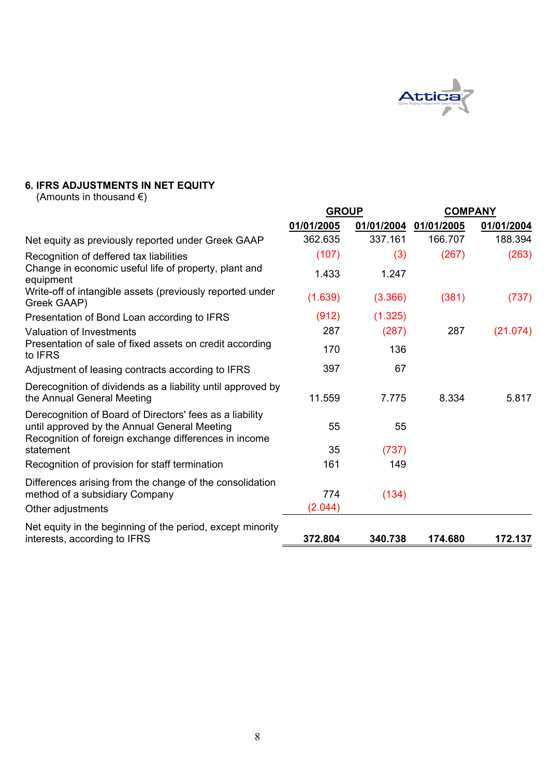

# **6. IFRS ADJUSTMENTS IN NET EQUITY**

(Amounts in thousand  $\epsilon$ )

|                                                                                                                                                                   | <b>GROUP</b> |         | <b>COMPANY</b>        |            |  |
|-------------------------------------------------------------------------------------------------------------------------------------------------------------------|--------------|---------|-----------------------|------------|--|
|                                                                                                                                                                   | 01/01/2005   |         | 01/01/2004 01/01/2005 | 01/01/2004 |  |
| Net equity as previously reported under Greek GAAP                                                                                                                | 362.635      | 337.161 | 166.707               | 188.394    |  |
| Recognition of deffered tax liabilities                                                                                                                           | (107)        | (3)     | (267)                 | (263)      |  |
| Change in economic useful life of property, plant and<br>equipment                                                                                                | 1.433        | 1.247   |                       |            |  |
| Write-off of intangible assets (previously reported under<br>Greek GAAP)                                                                                          | (1.639)      | (3.366) | (381)                 | (737)      |  |
| Presentation of Bond Loan according to IFRS                                                                                                                       | (912)        | (1.325) |                       |            |  |
| Valuation of Investments                                                                                                                                          | 287          | (287)   | 287                   | (21.074)   |  |
| Presentation of sale of fixed assets on credit according<br>to IFRS                                                                                               | 170          | 136     |                       |            |  |
| Adjustment of leasing contracts according to IFRS                                                                                                                 | 397          | 67      |                       |            |  |
| Derecognition of dividends as a liability until approved by<br>the Annual General Meeting                                                                         | 11.559       | 7.775   | 8.334                 | 5.817      |  |
| Derecognition of Board of Directors' fees as a liability<br>until approved by the Annual General Meeting<br>Recognition of foreign exchange differences in income | 55           | 55      |                       |            |  |
| statement                                                                                                                                                         | 35           | (737)   |                       |            |  |
| Recognition of provision for staff termination                                                                                                                    | 161          | 149     |                       |            |  |
| Differences arising from the change of the consolidation                                                                                                          |              |         |                       |            |  |
| method of a subsidiary Company                                                                                                                                    | 774          | (134)   |                       |            |  |
| Other adjustments                                                                                                                                                 | (2.044)      |         |                       |            |  |
| Net equity in the beginning of the period, except minority<br>interests, according to IFRS                                                                        | 372.804      | 340.738 | 174.680               | 172.137    |  |
|                                                                                                                                                                   |              |         |                       |            |  |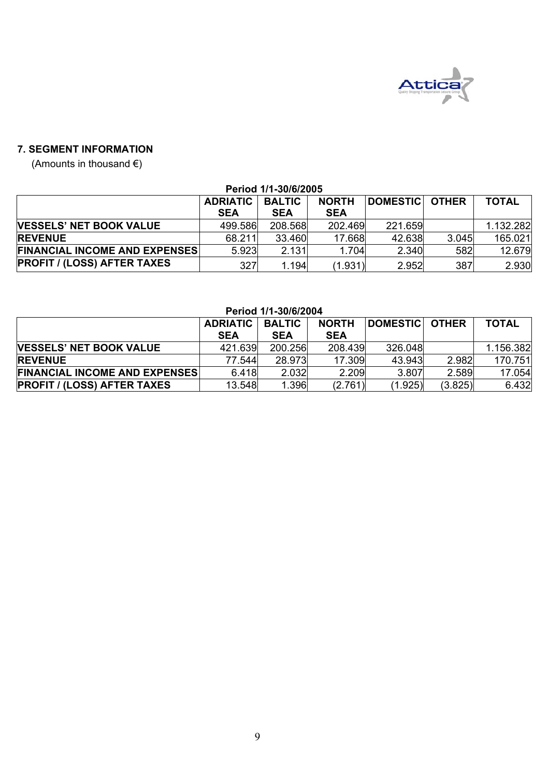

# **7. SEGMENT INFORMATION**

(Amounts in thousand €)

| Period 1/1-30/6/2005                 |                 |               |              |                |       |              |  |  |
|--------------------------------------|-----------------|---------------|--------------|----------------|-------|--------------|--|--|
|                                      | <b>ADRIATIC</b> | <b>BALTIC</b> | <b>NORTH</b> | DOMESTIC OTHER |       | <b>TOTAL</b> |  |  |
|                                      | <b>SEA</b>      | <b>SEA</b>    | <b>SEA</b>   |                |       |              |  |  |
| <b>VESSELS' NET BOOK VALUE</b>       | 499.586         | 208.568       | 202.469      | 221.659        |       | 1.132.282    |  |  |
| <b>REVENUE</b>                       | 68.211          | 33.460        | 17.668       | 42.638         | 3.045 | 165.021      |  |  |
| <b>FINANCIAL INCOME AND EXPENSES</b> | 5.923           | 2.131         | 1.704        | 2.340          | 582   | 12.679       |  |  |
| <b>PROFIT / (LOSS) AFTER TAXES</b>   | 327             | 1.194         | (1.931)      | 2.952          | 387   | 2.930        |  |  |

# **Period 1/1-30/6/2004**

|                                      | <b>ADRIATIC BALTIC</b><br><b>SEA</b> | <b>SEA</b> | <b>NORTH</b><br><b>SEA</b> | <b>IDOMESTIC OTHER</b> |         | <b>TOTAL</b> |  |  |
|--------------------------------------|--------------------------------------|------------|----------------------------|------------------------|---------|--------------|--|--|
| <b>VESSELS' NET BOOK VALUE</b>       | 421.639                              | 200.256    | 208.439                    | 326,048                |         | 1.156.382    |  |  |
| <b>REVENUE</b>                       | 77.544                               | 28.973     | 17.309                     | 43.943                 | 2.982   | 170.751      |  |  |
| <b>FINANCIAL INCOME AND EXPENSES</b> | 6.418                                | 2.032      | 2.209                      | 3.807                  | 2.589   | 17.054       |  |  |
| <b>PROFIT / (LOSS) AFTER TAXES</b>   | 13.548                               | 1.396      | (2.761)                    | (1.925)                | (3.825) | 6.432        |  |  |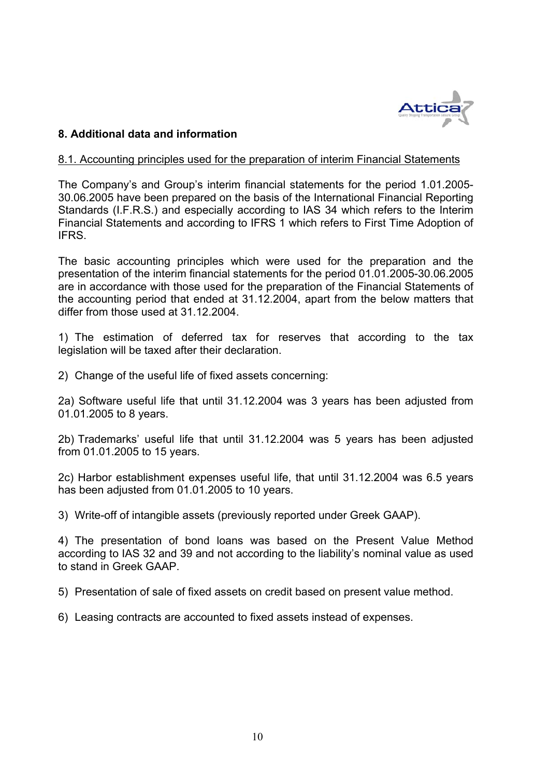

# **8. Additional data and information**

## 8.1. Accounting principles used for the preparation of interim Financial Statements

The Company's and Group's interim financial statements for the period 1.01.2005- 30.06.2005 have been prepared on the basis of the International Financial Reporting Standards (I.F.R.S.) and especially according to IAS 34 which refers to the Interim Financial Statements and according to IFRS 1 which refers to First Time Adoption of IFRS.

The basic accounting principles which were used for the preparation and the presentation of the interim financial statements for the period 01.01.2005-30.06.2005 are in accordance with those used for the preparation of the Financial Statements of the accounting period that ended at 31.12.2004, apart from the below matters that differ from those used at 31.12.2004.

1) The estimation of deferred tax for reserves that according to the tax legislation will be taxed after their declaration.

2) Change of the useful life of fixed assets concerning:

2a) Software useful life that until 31.12.2004 was 3 years has been adjusted from 01.01.2005 to 8 years.

2b) Trademarks' useful life that until 31.12.2004 was 5 years has been adjusted from 01.01.2005 to 15 years.

2c) Harbor establishment expenses useful life, that until 31.12.2004 was 6.5 years has been adjusted from 01.01.2005 to 10 years.

3) Write-off of intangible assets (previously reported under Greek GAAP).

4) The presentation of bond loans was based on the Present Value Method according to IAS 32 and 39 and not according to the liability's nominal value as used to stand in Greek GAAP.

5) Presentation of sale of fixed assets on credit based on present value method.

6) Leasing contracts are accounted to fixed assets instead of expenses.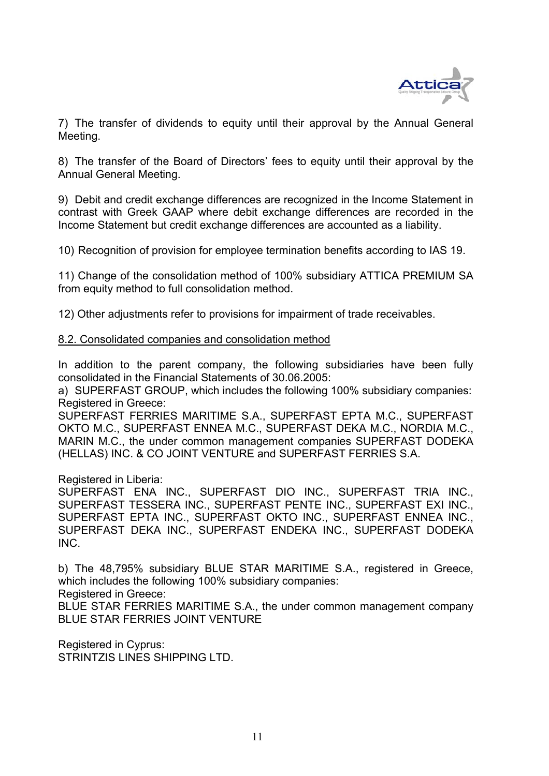

7) The transfer of dividends to equity until their approval by the Annual General Meeting.

8) The transfer of the Board of Directors' fees to equity until their approval by the Annual General Meeting.

9) Debit and credit exchange differences are recognized in the Income Statement in contrast with Greek GAAP where debit exchange differences are recorded in the Income Statement but credit exchange differences are accounted as a liability.

10) Recognition of provision for employee termination benefits according to IAS 19.

11) Change of the consolidation method of 100% subsidiary ATTICA PREMIUM SA from equity method to full consolidation method.

12) Other adjustments refer to provisions for impairment of trade receivables.

## 8.2. Consolidated companies and consolidation method

In addition to the parent company, the following subsidiaries have been fully consolidated in the Financial Statements of 30.06.2005:

a) SUPERFAST GROUP, which includes the following 100% subsidiary companies: Registered in Greece:

SUPERFAST FERRIES MARITIME S.A., SUPERFAST EPTA M.C., SUPERFAST OKTO M.C., SUPERFAST ENNEA M.C., SUPERFAST DEKA M.C., NORDIA M.C., MARIN M.C., the under common management companies SUPERFAST DODEKA (HELLAS) INC. & CO JOINT VENTURE and SUPERFAST FERRIES S.A.

Registered in Liberia:

SUPERFAST ENA INC., SUPERFAST DIO INC., SUPERFAST TRIA INC., SUPERFAST TESSERA INC., SUPERFAST PENTE INC., SUPERFAST EXI INC., SUPERFAST EPTA INC., SUPERFAST OKTO INC., SUPERFAST ENNEA INC., SUPERFAST DEKA INC., SUPERFAST ENDEKA INC., SUPERFAST DODEKA INC.

b) The 48,795% subsidiary BLUE STAR MARITIME S.A., registered in Greece, which includes the following 100% subsidiary companies:

Registered in Greece:

BLUE STAR FERRIES MARITIME S.A., the under common management company BLUE STAR FERRIES JOINT VENTURE

Registered in Cyprus: STRINTZIS LINES SHIPPING LTD.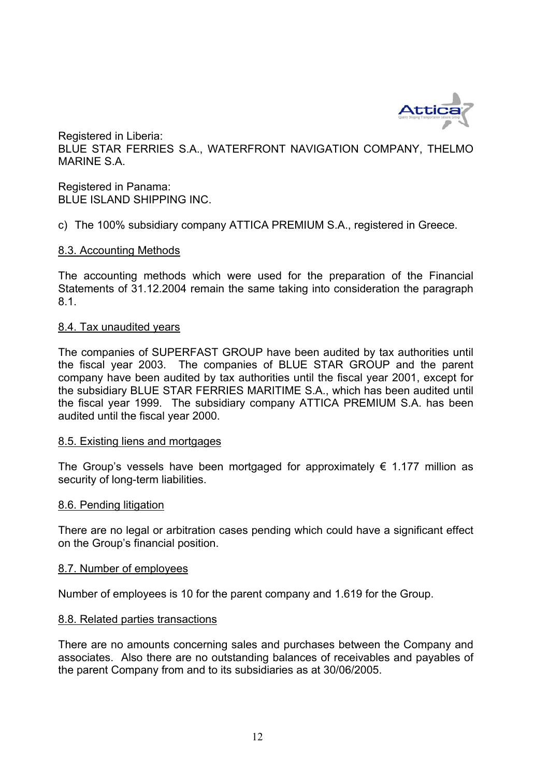

Registered in Liberia: BLUE STAR FERRIES S.A., WATERFRONT NAVIGATION COMPANY, THELMO MARINE S.A.

Registered in Panama: BLUE ISLAND SHIPPING INC.

c) The 100% subsidiary company ATTICA PREMIUM S.A., registered in Greece.

# 8.3. Accounting Methods

The accounting methods which were used for the preparation of the Financial Statements of 31.12.2004 remain the same taking into consideration the paragraph 8.1.

# 8.4. Tax unaudited years

The companies of SUPERFAST GROUP have been audited by tax authorities until the fiscal year 2003. The companies of BLUE STAR GROUP and the parent company have been audited by tax authorities until the fiscal year 2001, except for the subsidiary BLUE STAR FERRIES MARITIME S.A., which has been audited until the fiscal year 1999. The subsidiary company ATTICA PREMIUM S.A. has been audited until the fiscal year 2000.

# 8.5. Existing liens and mortgages

The Group's vessels have been mortgaged for approximately  $\epsilon$  1.177 million as security of long-term liabilities.

# 8.6. Pending litigation

There are no legal or arbitration cases pending which could have a significant effect on the Group's financial position.

#### 8.7. Number of employees

Number of employees is 10 for the parent company and 1.619 for the Group.

# 8.8. Related parties transactions

There are no amounts concerning sales and purchases between the Company and associates. Also there are no outstanding balances of receivables and payables of the parent Company from and to its subsidiaries as at 30/06/2005.